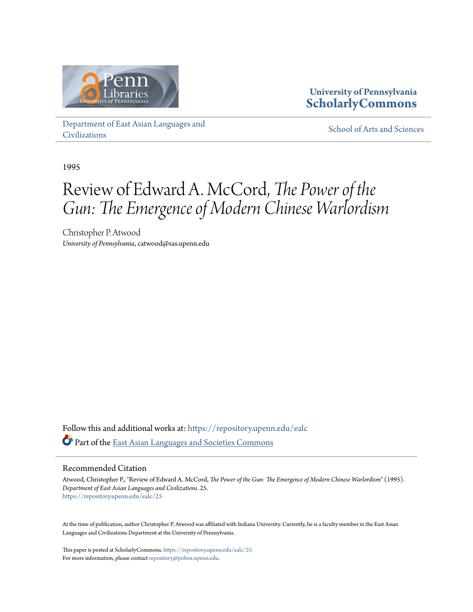

### **University of Pennsylvania [ScholarlyCommons](https://repository.upenn.edu?utm_source=repository.upenn.edu%2Fealc%2F25&utm_medium=PDF&utm_campaign=PDFCoverPages)**

[Department of East Asian Languages and](https://repository.upenn.edu/ealc?utm_source=repository.upenn.edu%2Fealc%2F25&utm_medium=PDF&utm_campaign=PDFCoverPages) [Civilizations](https://repository.upenn.edu/ealc?utm_source=repository.upenn.edu%2Fealc%2F25&utm_medium=PDF&utm_campaign=PDFCoverPages)

[School of Arts and Sciences](https://repository.upenn.edu/sas?utm_source=repository.upenn.edu%2Fealc%2F25&utm_medium=PDF&utm_campaign=PDFCoverPages)

1995

# Review of Edward A. McCord, *The Power of the Gun: The Emergence of Modern Chinese Warlordism*

Christopher P. Atwood *University of Pennsylvania*, catwood@sas.upenn.edu

Follow this and additional works at: [https://repository.upenn.edu/ealc](https://repository.upenn.edu/ealc?utm_source=repository.upenn.edu%2Fealc%2F25&utm_medium=PDF&utm_campaign=PDFCoverPages) Part of the [East Asian Languages and Societies Commons](http://network.bepress.com/hgg/discipline/481?utm_source=repository.upenn.edu%2Fealc%2F25&utm_medium=PDF&utm_campaign=PDFCoverPages)

#### Recommended Citation

Atwood, Christopher P., "Review of Edward A. McCord, *The Power of the Gun: The Emergence of Modern Chinese Warlordism*" (1995). *Department of East Asian Languages and Civilizations*. 25. [https://repository.upenn.edu/ealc/25](https://repository.upenn.edu/ealc/25?utm_source=repository.upenn.edu%2Fealc%2F25&utm_medium=PDF&utm_campaign=PDFCoverPages)

At the time of publication, author Christopher P. Atwood was affiliated with Indiana University. Currently, he is a faculty member in the East Asian Languages and Civilizations Department at the University of Pennsylvania.

This paper is posted at ScholarlyCommons. <https://repository.upenn.edu/ealc/25> For more information, please contact [repository@pobox.upenn.edu.](mailto:repository@pobox.upenn.edu)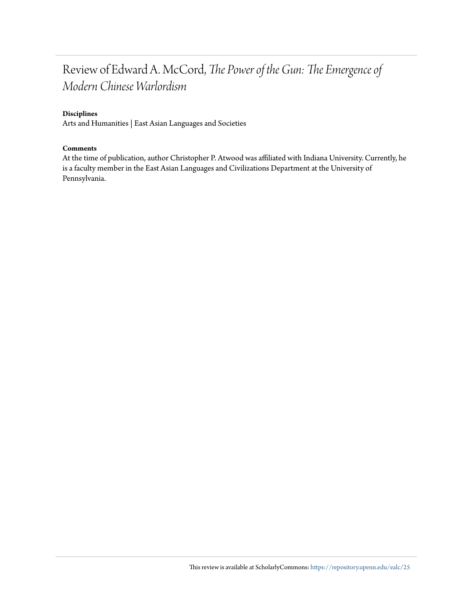### Review of Edward A. McCord, *The Power of the Gun: The Emergence of Modern Chinese Warlordism*

#### **Disciplines**

Arts and Humanities | East Asian Languages and Societies

#### **Comments**

At the time of publication, author Christopher P. Atwood was affiliated with Indiana University. Currently, he is a faculty member in the East Asian Languages and Civilizations Department at the University of Pennsylvania.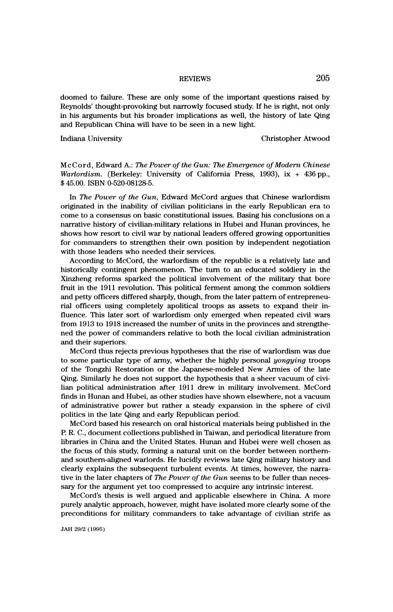# REVIEWS 205

 doomed to failure. These are only some of the important questions raised by Reynolds' thought-provoking but narrowly focused study. If he is right, not only in his arguments but his broader implications as well, the history of late Qing and Republican China will have to be seen in a new light.

Indiana University Christopher Atwood

 McCord, Edward A.: The Power of the Gun: The Emergence of Modern Chinese Warlordism. (Berkeley: University of California Press, 1993), ix + 436 pp., \$ 45.00. ISBN 0-520-08128-5.

In The Power of the Gun, Edward McCord argues that Chinese warlordism originated in the inability of civilian politicians in the early Republican era to come to a consensus on basic constitutional issues. Basing his conclusions on a narrative history of civilian-military relations in Hubei and Hunan provinces, he shows how resort to civil war by national leaders offered growing opportunities for commanders to strengthen their own position by independent negotiation with those leaders who needed their services.

 According to McCord, the warlordism of the republic is a relatively late and historically contingent phenomenon. The turn to an educated soldiery in the Xinzheng reforms sparked the political involvement of the military that bore fruit in the 1911 revolution. This political ferment among the common soldiers and petty officers differed sharply, though, from the later pattern of entrepreneu rial officers using completely apolitical troops as assets to expand their in fluence. This later sort of warlordism only emerged when repeated civil wars from 1913 to 1918 increased the number of units in the provinces and strengthe ned the power of commanders relative to both the local civilian administration and their superiors.

 McCord thus rejects previous hypotheses that the rise of warlordism was due to some particular type of army, whether the highly personal *yongying* troops of the Tongzhi Restoration or the Japanese-modeled New Armies of the late Qing. Similarly he does not support the hypothesis that a sheer vacuum of civi lian political administration after 1911 drew in military involvement. McCord finds in Hunan and Hubei, as other studies have shown elsewhere, not a vacuum of administrative power but rather a steady expansion in the sphere of civil politics in the late Qing and early Republican period.

 McCord based his research on oral historical materials being published in the R R. C., document collections published in Taiwan, and periodical literature from libraries in China and the United States. Hunan and Hubei were well chosen as the focus of this study, forming a natural unit on the border between northern and southern-aligned warlords. He lucidly reviews late Qing military history and clearly explains the subsequent turbulent events. At times, however, the narra tive in the later chapters of The Power of the Gun seems to be fuller than necessary for the argument yet too compressed to acquire any intrinsic interest.

 McCord's thesis is well argued and applicable elsewhere in China. A more purely analytic approach, however, might have isolated more clearly some of the preconditions for military commanders to take advantage of civilian strife as